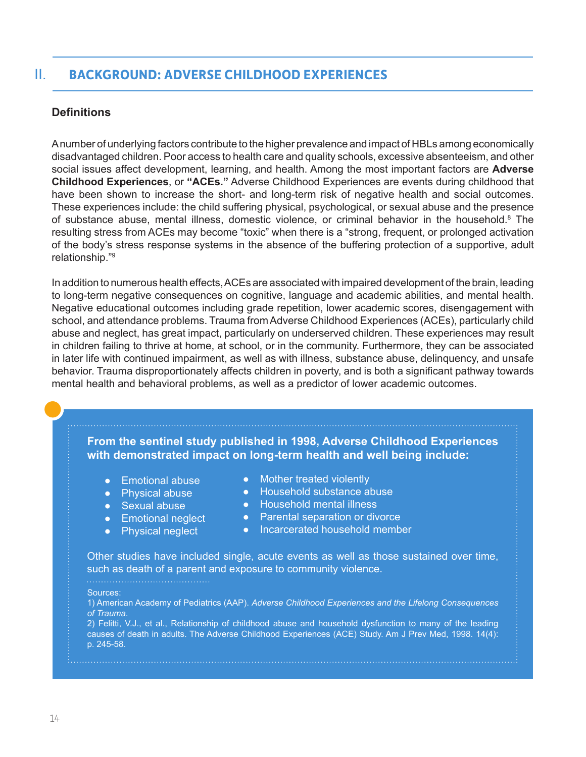# II. **BACKGROUND: ADVERSE CHILDHOOD EXPERIENCES**

# **Definitions**

A number of underlying factors contribute to the higher prevalence and impact of HBLs among economically disadvantaged children. Poor access to health care and quality schools, excessive absenteeism, and other social issues affect development, learning, and health. Among the most important factors are **Adverse Childhood Experiences**, or **"ACEs."** Adverse Childhood Experiences are events during childhood that have been shown to increase the short- and long-term risk of negative health and social outcomes. These experiences include: the child suffering physical, psychological, or sexual abuse and the presence of substance abuse, mental illness, domestic violence, or criminal behavior in the household.<sup>8</sup> The resulting stress from ACEs may become "toxic" when there is a "strong, frequent, or prolonged activation of the body's stress response systems in the absence of the buffering protection of a supportive, adult relationship."9

In addition to numerous health effects, ACEs are associated with impaired development of the brain, leading to long-term negative consequences on cognitive, language and academic abilities, and mental health. Negative educational outcomes including grade repetition, lower academic scores, disengagement with school, and attendance problems. Trauma from Adverse Childhood Experiences (ACEs), particularly child abuse and neglect, has great impact, particularly on underserved children. These experiences may result in children failing to thrive at home, at school, or in the community. Furthermore, they can be associated in later life with continued impairment, as well as with illness, substance abuse, delinquency, and unsafe behavior. Trauma disproportionately affects children in poverty, and is both a significant pathway towards mental health and behavioral problems, as well as a predictor of lower academic outcomes.

**From the sentinel study published in 1998, Adverse Childhood Experiences with demonstrated impact on long-term health and well being include:**

- Emotional abuse
- Physical abuse
- **•** Sexual abuse
- **•** Emotional neglect
- Physical neglect
- Mother treated violently
- Household substance abuse
- Household mental illness
- Parental separation or divorce
- Incarcerated household member

Other studies have included single, acute events as well as those sustained over time, such as death of a parent and exposure to community violence.

#### Sources:

1) American Academy of Pediatrics (AAP). *Adverse Childhood Experiences and the Lifelong Consequences of Trauma*.

2) Felitti, V.J., et al., Relationship of childhood abuse and household dysfunction to many of the leading causes of death in adults. The Adverse Childhood Experiences (ACE) Study. Am J Prev Med, 1998. 14(4): p. 245-58.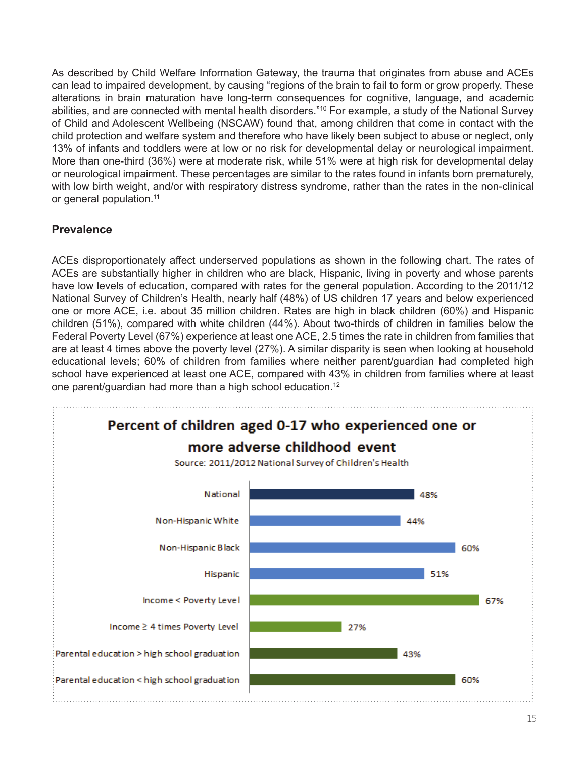As described by Child Welfare Information Gateway, the trauma that originates from abuse and ACEs can lead to impaired development, by causing "regions of the brain to fail to form or grow properly. These alterations in brain maturation have long-term consequences for cognitive, language, and academic abilities, and are connected with mental health disorders."10 For example, a study of the National Survey of Child and Adolescent Wellbeing (NSCAW) found that, among children that come in contact with the child protection and welfare system and therefore who have likely been subject to abuse or neglect, only 13% of infants and toddlers were at low or no risk for developmental delay or neurological impairment. More than one-third (36%) were at moderate risk, while 51% were at high risk for developmental delay or neurological impairment. These percentages are similar to the rates found in infants born prematurely, with low birth weight, and/or with respiratory distress syndrome, rather than the rates in the non-clinical or general population.<sup>11</sup>

## **Prevalence**

ACEs disproportionately affect underserved populations as shown in the following chart. The rates of ACEs are substantially higher in children who are black, Hispanic, living in poverty and whose parents have low levels of education, compared with rates for the general population. According to the 2011/12 National Survey of Children's Health, nearly half (48%) of US children 17 years and below experienced one or more ACE, i.e. about 35 million children. Rates are high in black children (60%) and Hispanic children (51%), compared with white children (44%). About two-thirds of children in families below the Federal Poverty Level (67%) experience at least one ACE, 2.5 times the rate in children from families that are at least 4 times above the poverty level (27%). A similar disparity is seen when looking at household educational levels; 60% of children from families where neither parent/guardian had completed high school have experienced at least one ACE, compared with 43% in children from families where at least one parent/guardian had more than a high school education.12

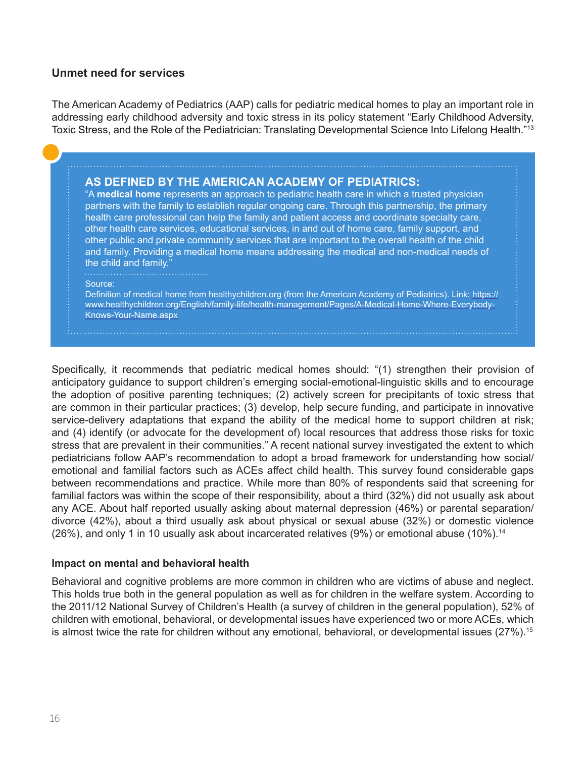## **Unmet need for services**

The American Academy of Pediatrics (AAP) calls for pediatric medical homes to play an important role in addressing early childhood adversity and toxic stress in its policy statement "Early Childhood Adversity, Toxic Stress, and the Role of the Pediatrician: Translating Developmental Science Into Lifelong Health."<sup>13</sup>

## **AS DEFINED BY THE AMERICAN ACADEMY OF PEDIATRICS:**

"A **medical home** represents an approach to pediatric health care in which a trusted physician partners with the family to establish regular ongoing care. Through this partnership, the [primary](https://www.healthychildren.org/English/tips-tools/find-pediatrician/Pages/Pediatrician-Referral-Service.aspx)  [health care professional](https://www.healthychildren.org/English/tips-tools/find-pediatrician/Pages/Pediatrician-Referral-Service.aspx) can help the family and patient access and coordinate specialty care, other health care services, educational services, in and out of home care, family support, and other public and private community services that are important to the overall health of the child and family. Providing a medical home means addressing the medical and non-medical needs of the child and family."

Source:

Definition of medical home from healthychildren.org (from the American Academy of Pediatrics). Link: [https://](https://www.healthychildren.org/English/family-life/health-management/Pages/A-Medical-Home-Where-Everybody-Knows-Your-Name.aspx) [www.healthychildren.org/English/family-life/health-management/Pages/A-Medical-Home-Where-Everybody-](https://www.healthychildren.org/English/family-life/health-management/Pages/A-Medical-Home-Where-Everybody-Knows-Your-Name.aspx)[Knows-Your-Name.aspx](https://www.healthychildren.org/English/family-life/health-management/Pages/A-Medical-Home-Where-Everybody-Knows-Your-Name.aspx)

Specifically, it recommends that pediatric medical homes should: "(1) strengthen their provision of anticipatory guidance to support children's emerging social-emotional-linguistic skills and to encourage the adoption of positive parenting techniques; (2) actively screen for precipitants of toxic stress that are common in their particular practices; (3) develop, help secure funding, and participate in innovative service-delivery adaptations that expand the ability of the medical home to support children at risk; and (4) identify (or advocate for the development of) local resources that address those risks for toxic stress that are prevalent in their communities." A recent national survey investigated the extent to which pediatricians follow AAP's recommendation to adopt a broad framework for understanding how social/ emotional and familial factors such as ACEs affect child health. This survey found considerable gaps between recommendations and practice. While more than 80% of respondents said that screening for familial factors was within the scope of their responsibility, about a third (32%) did not usually ask about any ACE. About half reported usually asking about maternal depression (46%) or parental separation/ divorce (42%), about a third usually ask about physical or sexual abuse (32%) or domestic violence (26%), and only 1 in 10 usually ask about incarcerated relatives (9%) or emotional abuse (10%).<sup>14</sup>

### **Impact on mental and behavioral health**

Behavioral and cognitive problems are more common in children who are victims of abuse and neglect. This holds true both in the general population as well as for children in the welfare system. According to the 2011/12 National Survey of Children's Health (a survey of children in the general population), 52% of children with emotional, behavioral, or developmental issues have experienced two or more ACEs, which is almost twice the rate for children without any emotional, behavioral, or developmental issues (27%).<sup>15</sup>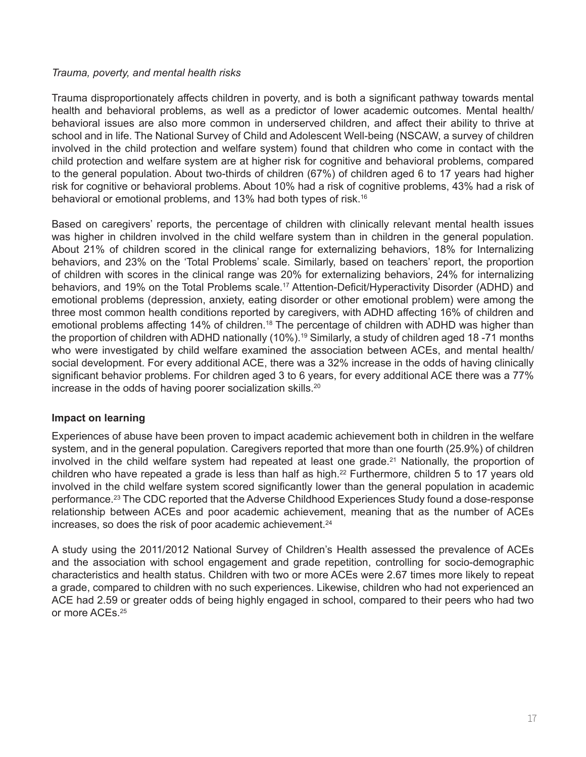## *Trauma, poverty, and mental health risks*

Trauma disproportionately affects children in poverty, and is both a significant pathway towards mental health and behavioral problems, as well as a predictor of lower academic outcomes. Mental health/ behavioral issues are also more common in underserved children, and affect their ability to thrive at school and in life. The National Survey of Child and Adolescent Well-being (NSCAW, a survey of children involved in the child protection and welfare system) found that children who come in contact with the child protection and welfare system are at higher risk for cognitive and behavioral problems, compared to the general population. About two-thirds of children (67%) of children aged 6 to 17 years had higher risk for cognitive or behavioral problems. About 10% had a risk of cognitive problems, 43% had a risk of behavioral or emotional problems, and 13% had both types of risk.16

Based on caregivers' reports, the percentage of children with clinically relevant mental health issues was higher in children involved in the child welfare system than in children in the general population. About 21% of children scored in the clinical range for externalizing behaviors, 18% for Internalizing behaviors, and 23% on the 'Total Problems' scale. Similarly, based on teachers' report, the proportion of children with scores in the clinical range was 20% for externalizing behaviors, 24% for internalizing behaviors, and 19% on the Total Problems scale.<sup>17</sup> Attention-Deficit/Hyperactivity Disorder (ADHD) and emotional problems (depression, anxiety, eating disorder or other emotional problem) were among the three most common health conditions reported by caregivers, with ADHD affecting 16% of children and emotional problems affecting 14% of children.<sup>18</sup> The percentage of children with ADHD was higher than the proportion of children with ADHD nationally (10%).<sup>19</sup> Similarly, a study of children aged 18 -71 months who were investigated by child welfare examined the association between ACEs, and mental health/ social development. For every additional ACE, there was a 32% increase in the odds of having clinically significant behavior problems. For children aged 3 to 6 years, for every additional ACE there was a 77% increase in the odds of having poorer socialization skills.<sup>20</sup>

## **Impact on learning**

Experiences of abuse have been proven to impact academic achievement both in children in the welfare system, and in the general population. Caregivers reported that more than one fourth (25.9%) of children involved in the child welfare system had repeated at least one grade.<sup>21</sup> Nationally, the proportion of children who have repeated a grade is less than half as high.<sup>22</sup> Furthermore, children 5 to 17 years old involved in the child welfare system scored significantly lower than the general population in academic performance.23 The CDC reported that the Adverse Childhood Experiences Study found a dose-response relationship between ACEs and poor academic achievement, meaning that as the number of ACEs increases, so does the risk of poor academic achievement.<sup>24</sup>

A study using the 2011/2012 National Survey of Children's Health assessed the prevalence of ACEs and the association with school engagement and grade repetition, controlling for socio-demographic characteristics and health status. Children with two or more ACEs were 2.67 times more likely to repeat a grade, compared to children with no such experiences. Likewise, children who had not experienced an ACE had 2.59 or greater odds of being highly engaged in school, compared to their peers who had two or more ACEs.<sup>25</sup>